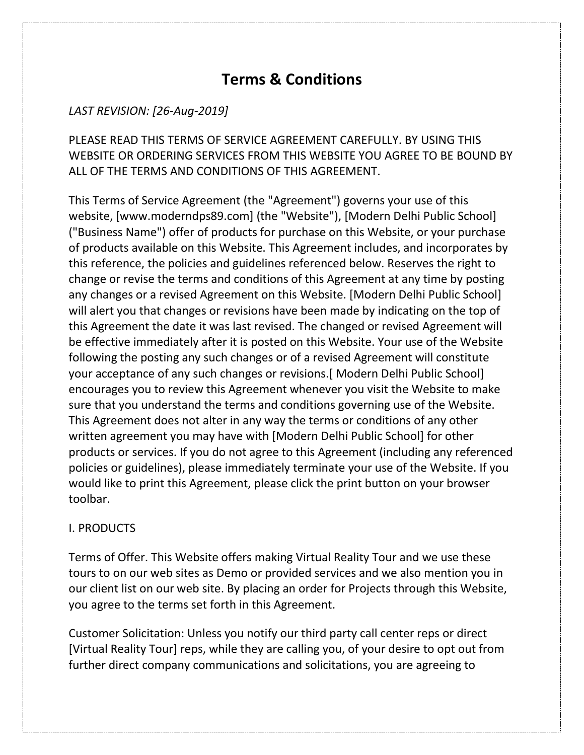# **Terms & Conditions**

# *LAST REVISION: [26-Aug-2019]*

PLEASE READ THIS TERMS OF SERVICE AGREEMENT CAREFULLY. BY USING THIS WEBSITE OR ORDERING SERVICES FROM THIS WEBSITE YOU AGREE TO BE BOUND BY ALL OF THE TERMS AND CONDITIONS OF THIS AGREEMENT.

This Terms of Service Agreement (the "Agreement") governs your use of this website, [www.moderndps89.com] (the "Website"), [Modern Delhi Public School] ("Business Name") offer of products for purchase on this Website, or your purchase of products available on this Website. This Agreement includes, and incorporates by this reference, the policies and guidelines referenced below. Reserves the right to change or revise the terms and conditions of this Agreement at any time by posting any changes or a revised Agreement on this Website. [Modern Delhi Public School] will alert you that changes or revisions have been made by indicating on the top of this Agreement the date it was last revised. The changed or revised Agreement will be effective immediately after it is posted on this Website. Your use of the Website following the posting any such changes or of a revised Agreement will constitute your acceptance of any such changes or revisions.[ Modern Delhi Public School] encourages you to review this Agreement whenever you visit the Website to make sure that you understand the terms and conditions governing use of the Website. This Agreement does not alter in any way the terms or conditions of any other written agreement you may have with [Modern Delhi Public School] for other products or services. If you do not agree to this Agreement (including any referenced policies or guidelines), please immediately terminate your use of the Website. If you would like to print this Agreement, please click the print button on your browser toolbar.

## I. PRODUCTS

Terms of Offer. This Website offers making Virtual Reality Tour and we use these tours to on our web sites as Demo or provided services and we also mention you in our client list on our web site. By placing an order for Projects through this Website, you agree to the terms set forth in this Agreement.

Customer Solicitation: Unless you notify our third party call center reps or direct [Virtual Reality Tour] reps, while they are calling you, of your desire to opt out from further direct company communications and solicitations, you are agreeing to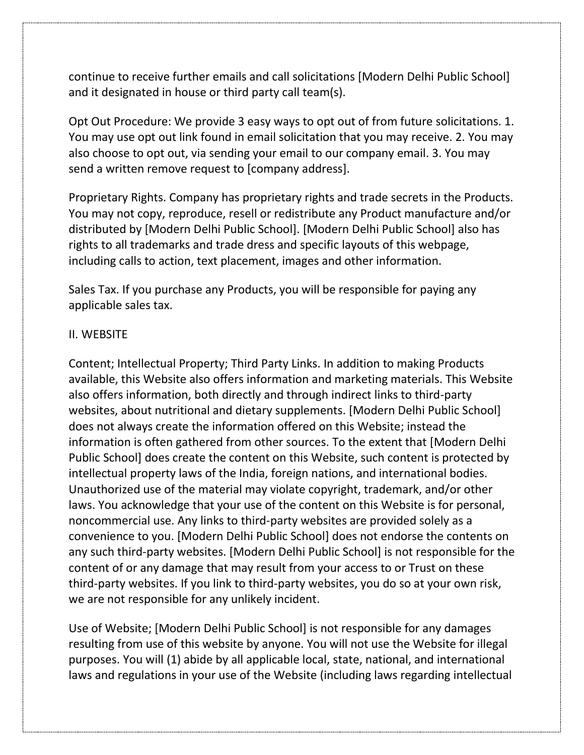continue to receive further emails and call solicitations [Modern Delhi Public School] and it designated in house or third party call team(s).

Opt Out Procedure: We provide 3 easy ways to opt out of from future solicitations. 1. You may use opt out link found in email solicitation that you may receive. 2. You may also choose to opt out, via sending your email to our company email. 3. You may send a written remove request to [company address].

Proprietary Rights. Company has proprietary rights and trade secrets in the Products. You may not copy, reproduce, resell or redistribute any Product manufacture and/or distributed by [Modern Delhi Public School]. [Modern Delhi Public School] also has rights to all trademarks and trade dress and specific layouts of this webpage, including calls to action, text placement, images and other information.

Sales Tax. If you purchase any Products, you will be responsible for paying any applicable sales tax.

# II. WEBSITE

Content; Intellectual Property; Third Party Links. In addition to making Products available, this Website also offers information and marketing materials. This Website also offers information, both directly and through indirect links to third-party websites, about nutritional and dietary supplements. [Modern Delhi Public School] does not always create the information offered on this Website; instead the information is often gathered from other sources. To the extent that [Modern Delhi Public School] does create the content on this Website, such content is protected by intellectual property laws of the India, foreign nations, and international bodies. Unauthorized use of the material may violate copyright, trademark, and/or other laws. You acknowledge that your use of the content on this Website is for personal, noncommercial use. Any links to third-party websites are provided solely as a convenience to you. [Modern Delhi Public School] does not endorse the contents on any such third-party websites. [Modern Delhi Public School] is not responsible for the content of or any damage that may result from your access to or Trust on these third-party websites. If you link to third-party websites, you do so at your own risk, we are not responsible for any unlikely incident.

Use of Website; [Modern Delhi Public School] is not responsible for any damages resulting from use of this website by anyone. You will not use the Website for illegal purposes. You will (1) abide by all applicable local, state, national, and international laws and regulations in your use of the Website (including laws regarding intellectual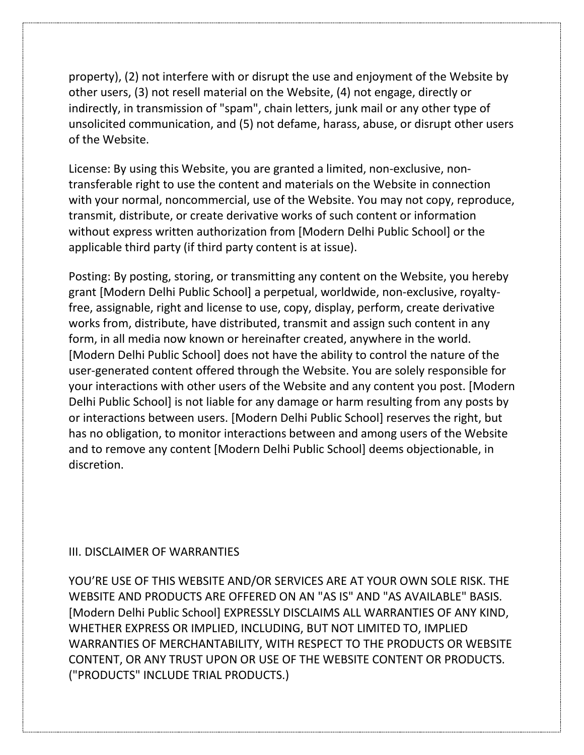property), (2) not interfere with or disrupt the use and enjoyment of the Website by other users, (3) not resell material on the Website, (4) not engage, directly or indirectly, in transmission of "spam", chain letters, junk mail or any other type of unsolicited communication, and (5) not defame, harass, abuse, or disrupt other users of the Website.

License: By using this Website, you are granted a limited, non-exclusive, nontransferable right to use the content and materials on the Website in connection with your normal, noncommercial, use of the Website. You may not copy, reproduce, transmit, distribute, or create derivative works of such content or information without express written authorization from [Modern Delhi Public School] or the applicable third party (if third party content is at issue).

Posting: By posting, storing, or transmitting any content on the Website, you hereby grant [Modern Delhi Public School] a perpetual, worldwide, non-exclusive, royaltyfree, assignable, right and license to use, copy, display, perform, create derivative works from, distribute, have distributed, transmit and assign such content in any form, in all media now known or hereinafter created, anywhere in the world. [Modern Delhi Public School] does not have the ability to control the nature of the user-generated content offered through the Website. You are solely responsible for your interactions with other users of the Website and any content you post. [Modern Delhi Public School] is not liable for any damage or harm resulting from any posts by or interactions between users. [Modern Delhi Public School] reserves the right, but has no obligation, to monitor interactions between and among users of the Website and to remove any content [Modern Delhi Public School] deems objectionable, in discretion.

## III. DISCLAIMER OF WARRANTIES

YOU'RE USE OF THIS WEBSITE AND/OR SERVICES ARE AT YOUR OWN SOLE RISK. THE WEBSITE AND PRODUCTS ARE OFFERED ON AN "AS IS" AND "AS AVAILABLE" BASIS. [Modern Delhi Public School] EXPRESSLY DISCLAIMS ALL WARRANTIES OF ANY KIND, WHETHER EXPRESS OR IMPLIED, INCLUDING, BUT NOT LIMITED TO, IMPLIED WARRANTIES OF MERCHANTABILITY, WITH RESPECT TO THE PRODUCTS OR WEBSITE CONTENT, OR ANY TRUST UPON OR USE OF THE WEBSITE CONTENT OR PRODUCTS. ("PRODUCTS" INCLUDE TRIAL PRODUCTS.)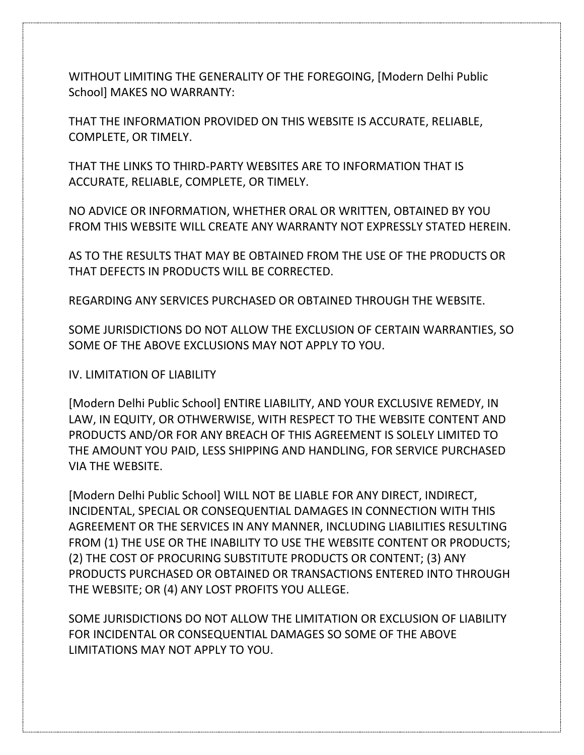WITHOUT LIMITING THE GENERALITY OF THE FOREGOING, [Modern Delhi Public School] MAKES NO WARRANTY:

THAT THE INFORMATION PROVIDED ON THIS WEBSITE IS ACCURATE, RELIABLE, COMPLETE, OR TIMELY.

THAT THE LINKS TO THIRD-PARTY WEBSITES ARE TO INFORMATION THAT IS ACCURATE, RELIABLE, COMPLETE, OR TIMELY.

NO ADVICE OR INFORMATION, WHETHER ORAL OR WRITTEN, OBTAINED BY YOU FROM THIS WEBSITE WILL CREATE ANY WARRANTY NOT EXPRESSLY STATED HEREIN.

AS TO THE RESULTS THAT MAY BE OBTAINED FROM THE USE OF THE PRODUCTS OR THAT DEFECTS IN PRODUCTS WILL BE CORRECTED.

REGARDING ANY SERVICES PURCHASED OR OBTAINED THROUGH THE WEBSITE.

SOME JURISDICTIONS DO NOT ALLOW THE EXCLUSION OF CERTAIN WARRANTIES, SO SOME OF THE ABOVE EXCLUSIONS MAY NOT APPLY TO YOU.

IV. LIMITATION OF LIABILITY

[Modern Delhi Public School] ENTIRE LIABILITY, AND YOUR EXCLUSIVE REMEDY, IN LAW, IN EQUITY, OR OTHWERWISE, WITH RESPECT TO THE WEBSITE CONTENT AND PRODUCTS AND/OR FOR ANY BREACH OF THIS AGREEMENT IS SOLELY LIMITED TO THE AMOUNT YOU PAID, LESS SHIPPING AND HANDLING, FOR SERVICE PURCHASED VIA THE WEBSITE.

[Modern Delhi Public School] WILL NOT BE LIABLE FOR ANY DIRECT, INDIRECT, INCIDENTAL, SPECIAL OR CONSEQUENTIAL DAMAGES IN CONNECTION WITH THIS AGREEMENT OR THE SERVICES IN ANY MANNER, INCLUDING LIABILITIES RESULTING FROM (1) THE USE OR THE INABILITY TO USE THE WEBSITE CONTENT OR PRODUCTS; (2) THE COST OF PROCURING SUBSTITUTE PRODUCTS OR CONTENT; (3) ANY PRODUCTS PURCHASED OR OBTAINED OR TRANSACTIONS ENTERED INTO THROUGH THE WEBSITE; OR (4) ANY LOST PROFITS YOU ALLEGE.

SOME JURISDICTIONS DO NOT ALLOW THE LIMITATION OR EXCLUSION OF LIABILITY FOR INCIDENTAL OR CONSEQUENTIAL DAMAGES SO SOME OF THE ABOVE LIMITATIONS MAY NOT APPLY TO YOU.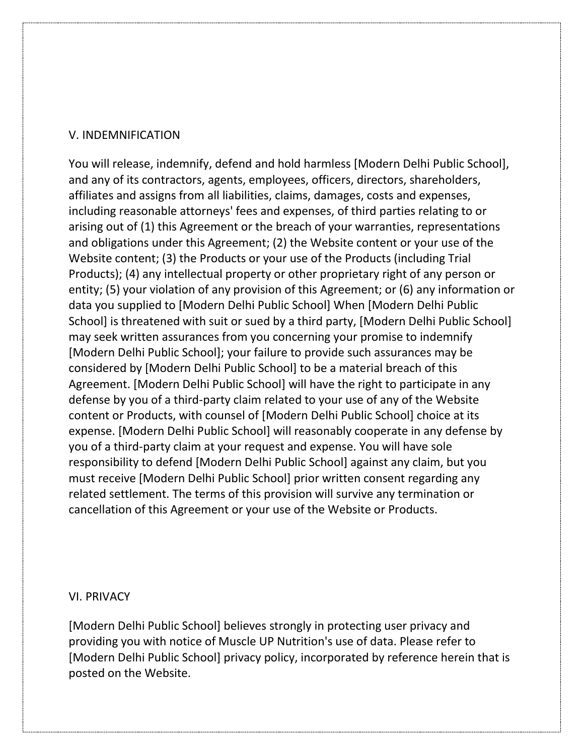#### V. INDEMNIFICATION

You will release, indemnify, defend and hold harmless [Modern Delhi Public School], and any of its contractors, agents, employees, officers, directors, shareholders, affiliates and assigns from all liabilities, claims, damages, costs and expenses, including reasonable attorneys' fees and expenses, of third parties relating to or arising out of (1) this Agreement or the breach of your warranties, representations and obligations under this Agreement; (2) the Website content or your use of the Website content; (3) the Products or your use of the Products (including Trial Products); (4) any intellectual property or other proprietary right of any person or entity; (5) your violation of any provision of this Agreement; or (6) any information or data you supplied to [Modern Delhi Public School] When [Modern Delhi Public School] is threatened with suit or sued by a third party, [Modern Delhi Public School] may seek written assurances from you concerning your promise to indemnify [Modern Delhi Public School]; your failure to provide such assurances may be considered by [Modern Delhi Public School] to be a material breach of this Agreement. [Modern Delhi Public School] will have the right to participate in any defense by you of a third-party claim related to your use of any of the Website content or Products, with counsel of [Modern Delhi Public School] choice at its expense. [Modern Delhi Public School] will reasonably cooperate in any defense by you of a third-party claim at your request and expense. You will have sole responsibility to defend [Modern Delhi Public School] against any claim, but you must receive [Modern Delhi Public School] prior written consent regarding any related settlement. The terms of this provision will survive any termination or cancellation of this Agreement or your use of the Website or Products.

#### VI. PRIVACY

[Modern Delhi Public School] believes strongly in protecting user privacy and providing you with notice of Muscle UP Nutrition's use of data. Please refer to [Modern Delhi Public School] privacy policy, incorporated by reference herein that is posted on the Website.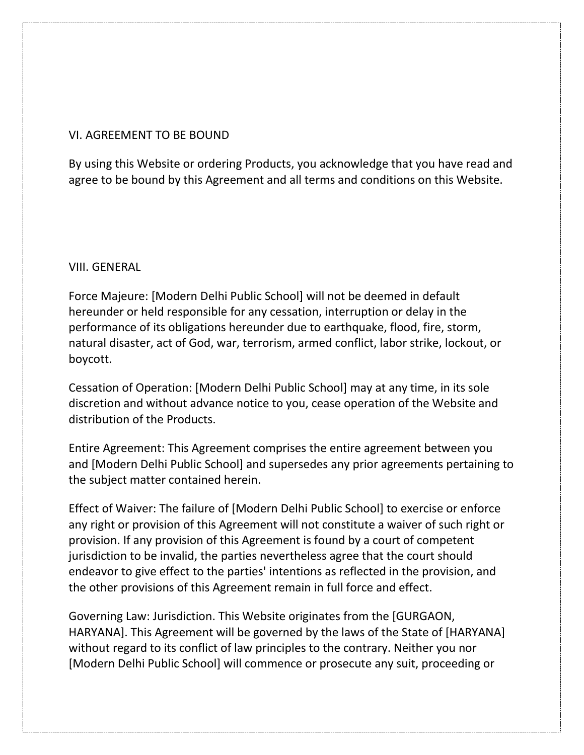## VI. AGREEMENT TO BE BOUND

By using this Website or ordering Products, you acknowledge that you have read and agree to be bound by this Agreement and all terms and conditions on this Website.

#### VIII. GENERAL

Force Majeure: [Modern Delhi Public School] will not be deemed in default hereunder or held responsible for any cessation, interruption or delay in the performance of its obligations hereunder due to earthquake, flood, fire, storm, natural disaster, act of God, war, terrorism, armed conflict, labor strike, lockout, or boycott.

Cessation of Operation: [Modern Delhi Public School] may at any time, in its sole discretion and without advance notice to you, cease operation of the Website and distribution of the Products.

Entire Agreement: This Agreement comprises the entire agreement between you and [Modern Delhi Public School] and supersedes any prior agreements pertaining to the subject matter contained herein.

Effect of Waiver: The failure of [Modern Delhi Public School] to exercise or enforce any right or provision of this Agreement will not constitute a waiver of such right or provision. If any provision of this Agreement is found by a court of competent jurisdiction to be invalid, the parties nevertheless agree that the court should endeavor to give effect to the parties' intentions as reflected in the provision, and the other provisions of this Agreement remain in full force and effect.

Governing Law: Jurisdiction. This Website originates from the [GURGAON, HARYANA]. This Agreement will be governed by the laws of the State of [HARYANA] without regard to its conflict of law principles to the contrary. Neither you nor [Modern Delhi Public School] will commence or prosecute any suit, proceeding or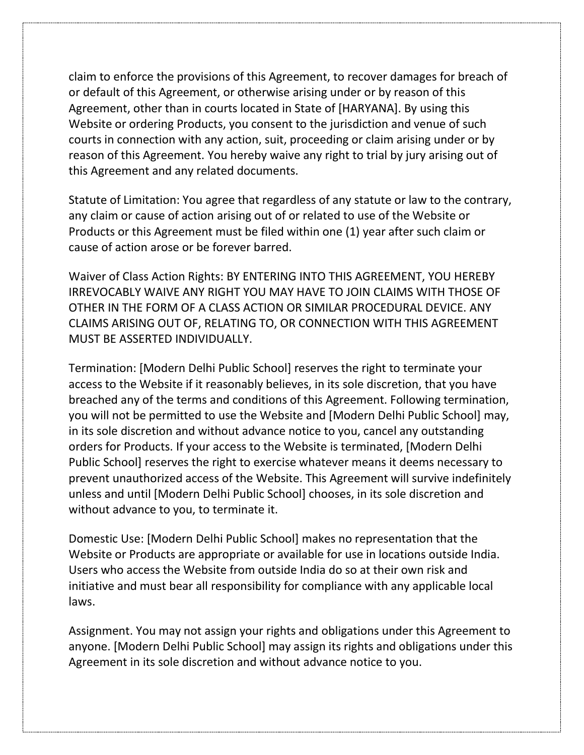claim to enforce the provisions of this Agreement, to recover damages for breach of or default of this Agreement, or otherwise arising under or by reason of this Agreement, other than in courts located in State of [HARYANA]. By using this Website or ordering Products, you consent to the jurisdiction and venue of such courts in connection with any action, suit, proceeding or claim arising under or by reason of this Agreement. You hereby waive any right to trial by jury arising out of this Agreement and any related documents.

Statute of Limitation: You agree that regardless of any statute or law to the contrary, any claim or cause of action arising out of or related to use of the Website or Products or this Agreement must be filed within one (1) year after such claim or cause of action arose or be forever barred.

Waiver of Class Action Rights: BY ENTERING INTO THIS AGREEMENT, YOU HEREBY IRREVOCABLY WAIVE ANY RIGHT YOU MAY HAVE TO JOIN CLAIMS WITH THOSE OF OTHER IN THE FORM OF A CLASS ACTION OR SIMILAR PROCEDURAL DEVICE. ANY CLAIMS ARISING OUT OF, RELATING TO, OR CONNECTION WITH THIS AGREEMENT MUST BE ASSERTED INDIVIDUALLY.

Termination: [Modern Delhi Public School] reserves the right to terminate your access to the Website if it reasonably believes, in its sole discretion, that you have breached any of the terms and conditions of this Agreement. Following termination, you will not be permitted to use the Website and [Modern Delhi Public School] may, in its sole discretion and without advance notice to you, cancel any outstanding orders for Products. If your access to the Website is terminated, [Modern Delhi Public School] reserves the right to exercise whatever means it deems necessary to prevent unauthorized access of the Website. This Agreement will survive indefinitely unless and until [Modern Delhi Public School] chooses, in its sole discretion and without advance to you, to terminate it.

Domestic Use: [Modern Delhi Public School] makes no representation that the Website or Products are appropriate or available for use in locations outside India. Users who access the Website from outside India do so at their own risk and initiative and must bear all responsibility for compliance with any applicable local laws.

Assignment. You may not assign your rights and obligations under this Agreement to anyone. [Modern Delhi Public School] may assign its rights and obligations under this Agreement in its sole discretion and without advance notice to you.